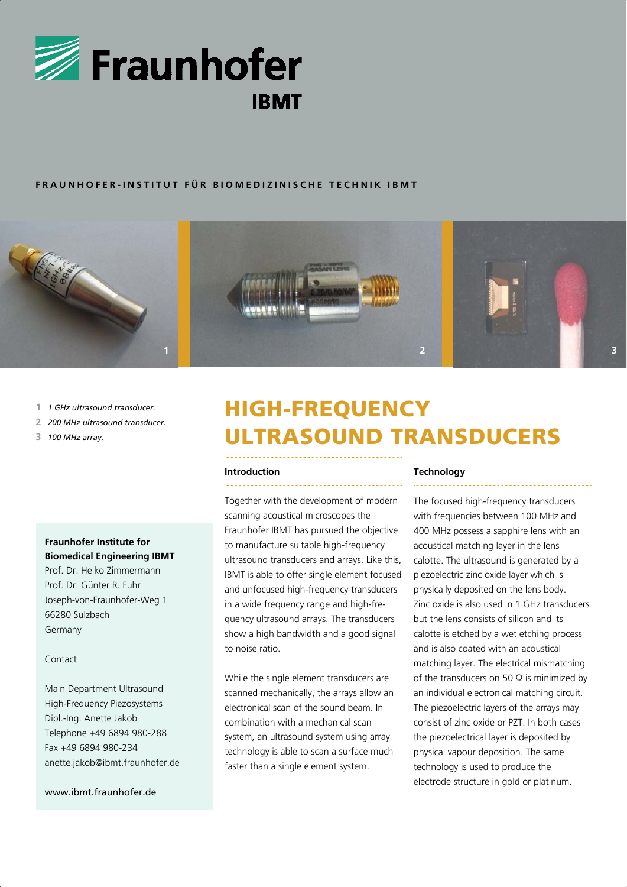

### **FRAUNHOFER-INSTITUT FÜR BIOMEDIZINISCHE TECHNIK IBMT**



- **1** *1 GHz ultrasound transducer.*
- **2** *200 MHz ultrasound transducer.*
- **3** *100 MHz array.*

## **Fraunhofer Institute for Biomedical Engineering IBMT**

Prof. Dr. Heiko Zimmermann Prof. Dr. Günter R. Fuhr Joseph-von-Fraunhofer-Weg 1 66280 Sulzbach Germany

### Contact

Main Department Ultrasound High-Frequency Piezosystems Dipl.-Ing. Anette Jakob Telephone +49 6894 980-288 Fax +49 6894 980-234 anette.jakob@ibmt.fraunhofer.de

### www.ibmt.fraunhofer.de

# HIGH-FREQUENCY ULTRASOUND TRANSDUCERS

### **Introduction**

Together with the development of modern scanning acoustical microscopes the Fraunhofer IBMT has pursued the objective to manufacture suitable high-frequency ultrasound transducers and arrays. Like this, IBMT is able to offer single element focused and unfocused high-frequency transducers in a wide frequency range and high-frequency ultrasound arrays. The transducers show a high bandwidth and a good signal to noise ratio.

While the single element transducers are scanned mechanically, the arrays allow an electronical scan of the sound beam. In combination with a mechanical scan system, an ultrasound system using array technology is able to scan a surface much faster than a single element system.

### **Technology**

The focused high-frequency transducers with frequencies between 100 MHz and 400 MHz possess a sapphire lens with an acoustical matching layer in the lens calotte. The ultrasound is generated by a piezoelectric zinc oxide layer which is physically deposited on the lens body. Zinc oxide is also used in 1 GHz transducers but the lens consists of silicon and its calotte is etched by a wet etching process and is also coated with an acoustical matching layer. The electrical mismatching of the transducers on 50  $\Omega$  is minimized by an individual electronical matching circuit. The piezoelectric layers of the arrays may consist of zinc oxide or PZT. In both cases the piezoelectrical layer is deposited by physical vapour deposition. The same technology is used to produce the electrode structure in gold or platinum.